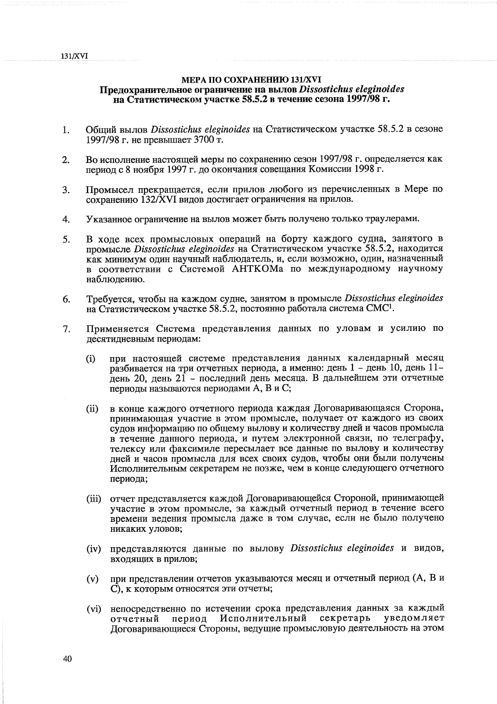## **МЕРА ПО СОХРАНЕНИЮ 131/XVI** Предохранительное ограничение на вылов Dissostichus eleginoides на Статистическом участке 58.5.2 в течение сезона 1997/98 г.

- Общий вылов Dissostichus eleginoides на Статистическом участке 58.5.2 в сезоне 1. 1997/98 г. не превышает 3700 т.
- Во исполнение настоящей меры по сохранению сезон 1997/98 г. определяется как  $2.$ период с 8 ноября 1997 г. до окончания совещания Комиссии 1998 г.
- Промысел прекращается, если прилов любого из перечисленных в Мере по  $\overline{3}$ . сохранению 132/XVI видов достигает ограничения на прилов.
- Указанное ограничение на вылов может быть получено только траулерами.  $\overline{4}$ .
- 5. В ходе всех промысловых операций на борту каждого судна, занятого в промысле Dissostichus eleginoides на Статистическом участке 58.5.2, находится как минимум один научный наблюдатель, и, если возможно, один, назначенный в соответствии с Системой АНТКОМа по международному научному наблюдению.
- Требуется, чтобы на каждом судне, занятом в промысле Dissostichus eleginoides 6. на Статистическом участке 58.5.2, постоянно работала система СМС<sup>1</sup>.
- Применяется Система представления данных по уловам и усилию по  $7.$ десятидневным периодам:
	- при настоящей системе представления данных календарный месяц  $(i)$ разбивается на три отчетных периода, а именно: день 1 - день 10, день 11день 20, день 21 - последний день месяца. В дальнейшем эти отчетные периоды называются периодами А, В и С;
	- в конце каждого отчетного периода каждая Договаривающаяся Сторона,  $(ii)$ принимающая участие в этом промысле, получает от каждого из своих судов информацию по общему вылову и количеству дней и часов промысла в течение данного периода, и путем электронной связи, по телеграфу, телексу или факсимиле пересылает все данные по вылову и количеству лней и часов промысла для всех своих судов, чтобы они были получены Исполнительным секретарем не позже, чем в конце следующего отчетного периода;
	- $(iii)$ отчет представляется каждой Договаривающейся Стороной, принимающей участие в этом промысле, за каждый отчетный период в течение всего времени ведения промысла даже в том случае, если не было получено никаких уловов:
	- представляются данные по вылову Dissostichus eleginoides и видов.  $(iv)$ входящих в прилов:
	- при представлении отчетов указываются месяц и отчетный период (А, В и  $(v)$ С), к которым относятся эти отчеты;
	- непосредственно по истечении срока представления данных за каждый  $(vi)$ уведомляет период Исполнительный секретарь отчетный Договаривающиеся Стороны, ведущие промысловую деятельность на этом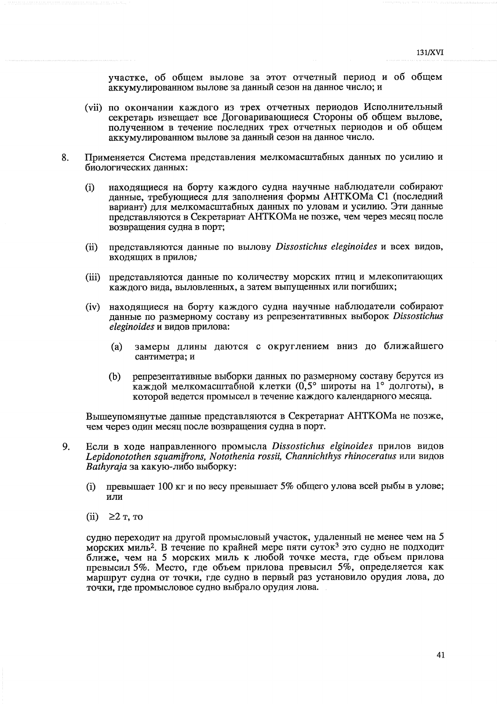участке, об общем вылове за этот отчетный период и об общем аккумулированном вылове за данный сезон на данное число; и

- (vii) по окончании каждого из трех отчетных периодов Исполнительный секретарь извешает все Договаривающиеся Стороны об общем вылове, полученном в течение последних трех отчетных периодов и об общем аккумулированном вылове за данный сезон на данное число.
- Применяется Система представления мелкомасштабных данных по усилию и 8. биологических данных:
	- находящиеся на борту каждого судна научные наблюдатели собирают  $(i)$ данные, требующиеся для заполнения формы АНТКОМа С1 (последний вариант) для мелкомасштабных данных по уловам и усилию. Эти данные представляются в Секретариат АНТКОМа не позже, чем через месяц после возвращения судна в порт;
	- преиставляются данные по вылову Dissostichus eleginoides и всех видов,  $(ii)$ входящих в прилов;
	- (iii) представляются данные по количеству морских птиц и млекопитающих каждого вида, выловленных, а затем выпущенных или погибших;
	- (iv) находящиеся на борту каждого судна научные наблюдатели собирают панные по размерному составу из репрезентативных выборок Dissostichus eleginoides и видов прилова:
		- замеры длины даются с округлением вниз до ближайшего  $(a)$ сантиметра; и
		- репрезентативные выборки данных по размерному составу берутся из  $(b)$ каждой мелкомасштабной клетки (0,5° широты на 1° долготы), в которой ведется промысел в течение каждого календарного месяца.

Вышеупомянутые данные представляются в Секретариат АНТКОМа не позже, чем через один месяц после возвращения судна в порт.

- $\mathbf{Q}$ Если в ходе направленного промысла Dissostichus elginoides прилов видов Lepidonotothen squamifrons, Notothenia rossii, Channichthys rhinoceratus или видов Bathyraja за какую-либо выборку:
	- превышает 100 кг и по весу превышает 5% общего улова всей рыбы в улове;  $(i)$ или
	- (ii)  $\geq 2$  T, TO

судно переходит на другой промысловый участок, удаленный не менее чем на 5 морских миль<sup>2</sup>. В течение по крайней мере пяти суток<sup>3</sup> это судно не подходит ближе, чем на 5 морских миль к любой точке места, где объем прилова превысил 5%. Место, где объем прилова превысил 5%, определяется как маршрут судна от точки, где судно в первый раз установило орудия лова, до точки, где промысловое судно выбрало орудия лова.